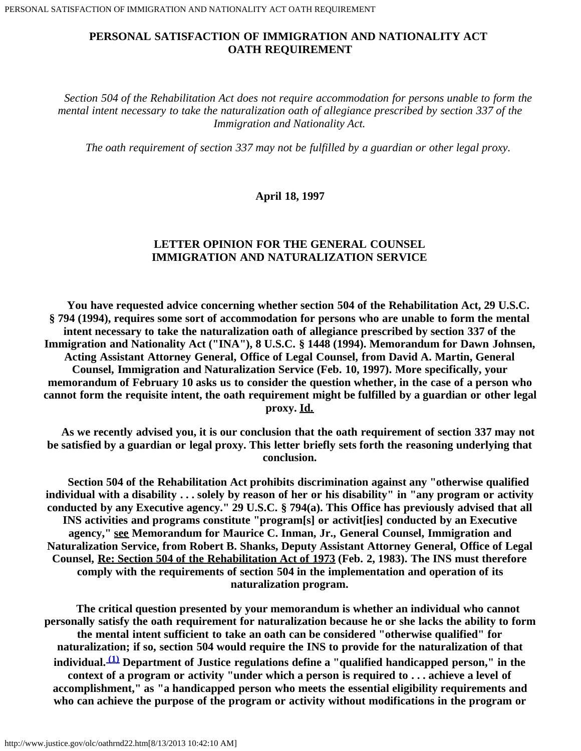## **PERSONAL SATISFACTION OF IMMIGRATION AND NATIONALITY ACT OATH REQUIREMENT**

 *Section 504 of the Rehabilitation Act does not require accommodation for persons unable to form the mental intent necessary to take the naturalization oath of allegiance prescribed by section 337 of the Immigration and Nationality Act.*

 *The oath requirement of section 337 may not be fulfilled by a guardian or other legal proxy.*

## **April 18, 1997**

## **LETTER OPINION FOR THE GENERAL COUNSEL IMMIGRATION AND NATURALIZATION SERVICE**

 **You have requested advice concerning whether section 504 of the Rehabilitation Act, 29 U.S.C. § 794 (1994), requires some sort of accommodation for persons who are unable to form the mental intent necessary to take the naturalization oath of allegiance prescribed by section 337 of the Immigration and Nationality Act ("INA"), 8 U.S.C. § 1448 (1994). Memorandum for Dawn Johnsen, Acting Assistant Attorney General, Office of Legal Counsel, from David A. Martin, General Counsel, Immigration and Naturalization Service (Feb. 10, 1997). More specifically, your memorandum of February 10 asks us to consider the question whether, in the case of a person who cannot form the requisite intent, the oath requirement might be fulfilled by a guardian or other legal proxy. Id.**

 **As we recently advised you, it is our conclusion that the oath requirement of section 337 may not be satisfied by a guardian or legal proxy. This letter briefly sets forth the reasoning underlying that conclusion.**

 **Section 504 of the Rehabilitation Act prohibits discrimination against any "otherwise qualified individual with a disability . . . solely by reason of her or his disability" in "any program or activity conducted by any Executive agency." 29 U.S.C. § 794(a). This Office has previously advised that all INS activities and programs constitute "program[s] or activit[ies] conducted by an Executive agency," see Memorandum for Maurice C. Inman, Jr., General Counsel, Immigration and Naturalization Service, from Robert B. Shanks, Deputy Assistant Attorney General, Office of Legal Counsel, Re: Section 504 of the Rehabilitation Act of 1973 (Feb. 2, 1983). The INS must therefore comply with the requirements of section 504 in the implementation and operation of its naturalization program.**

 **The critical question presented by your memorandum is whether an individual who cannot personally satisfy the oath requirement for naturalization because he or she lacks the ability to form the mental intent sufficient to take an oath can be considered "otherwise qualified" for naturalization; if so, section 504 would require the INS to provide for the naturalization of that individual. [\(1\)](#page-2-0) Department of Justice regulations define a "qualified handicapped person," in the context of a program or activity "under which a person is required to . . . achieve a level of accomplishment," as "a handicapped person who meets the essential eligibility requirements and who can achieve the purpose of the program or activity without modifications in the program or**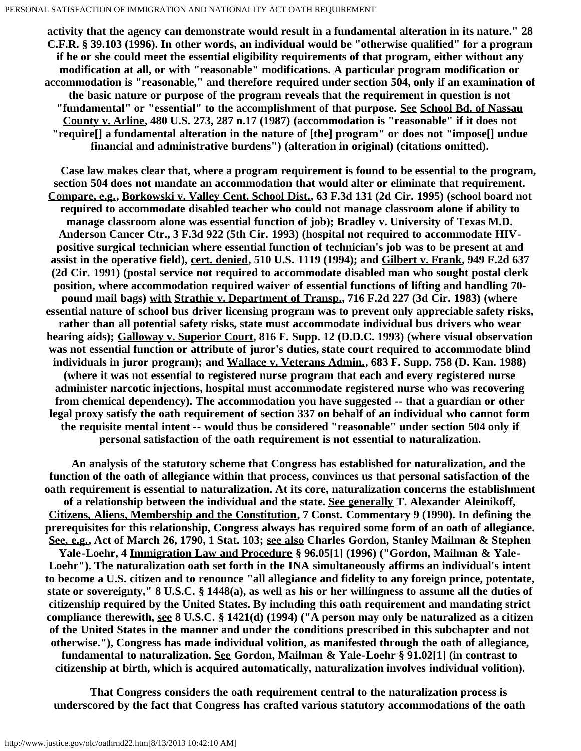**activity that the agency can demonstrate would result in a fundamental alteration in its nature." 28 C.F.R. § 39.103 (1996). In other words, an individual would be "otherwise qualified" for a program if he or she could meet the essential eligibility requirements of that program, either without any modification at all, or with "reasonable" modifications. A particular program modification or accommodation is "reasonable," and therefore required under section 504, only if an examination of the basic nature or purpose of the program reveals that the requirement in question is not "fundamental" or "essential" to the accomplishment of that purpose. See School Bd. of Nassau County v. Arline, 480 U.S. 273, 287 n.17 (1987) (accommodation is "reasonable" if it does not "require[] a fundamental alteration in the nature of [the] program" or does not "impose[] undue financial and administrative burdens") (alteration in original) (citations omitted).**

 **Case law makes clear that, where a program requirement is found to be essential to the program, section 504 does not mandate an accommodation that would alter or eliminate that requirement. Compare, e.g., Borkowski v. Valley Cent. School Dist., 63 F.3d 131 (2d Cir. 1995) (school board not required to accommodate disabled teacher who could not manage classroom alone if ability to manage classroom alone was essential function of job); Bradley v. University of Texas M.D. Anderson Cancer Ctr., 3 F.3d 922 (5th Cir. 1993) (hospital not required to accommodate HIVpositive surgical technician where essential function of technician's job was to be present at and assist in the operative field), cert. denied, 510 U.S. 1119 (1994); and Gilbert v. Frank, 949 F.2d 637 (2d Cir. 1991) (postal service not required to accommodate disabled man who sought postal clerk position, where accommodation required waiver of essential functions of lifting and handling 70 pound mail bags) with Strathie v. Department of Transp., 716 F.2d 227 (3d Cir. 1983) (where essential nature of school bus driver licensing program was to prevent only appreciable safety risks, rather than all potential safety risks, state must accommodate individual bus drivers who wear hearing aids); Galloway v. Superior Court, 816 F. Supp. 12 (D.D.C. 1993) (where visual observation was not essential function or attribute of juror's duties, state court required to accommodate blind individuals in juror program); and Wallace v. Veterans Admin., 683 F. Supp. 758 (D. Kan. 1988) (where it was not essential to registered nurse program that each and every registered nurse administer narcotic injections, hospital must accommodate registered nurse who was recovering from chemical dependency). The accommodation you have suggested -- that a guardian or other legal proxy satisfy the oath requirement of section 337 on behalf of an individual who cannot form the requisite mental intent -- would thus be considered "reasonable" under section 504 only if personal satisfaction of the oath requirement is not essential to naturalization.**

 **An analysis of the statutory scheme that Congress has established for naturalization, and the function of the oath of allegiance within that process, convinces us that personal satisfaction of the oath requirement is essential to naturalization. At its core, naturalization concerns the establishment of a relationship between the individual and the state. See generally T. Alexander Aleinikoff, Citizens, Aliens, Membership and the Constitution, 7 Const. Commentary 9 (1990). In defining the prerequisites for this relationship, Congress always has required some form of an oath of allegiance. See, e.g., Act of March 26, 1790, 1 Stat. 103; see also Charles Gordon, Stanley Mailman & Stephen Yale-Loehr, 4 Immigration Law and Procedure § 96.05[1] (1996) ("Gordon, Mailman & Yale-Loehr"). The naturalization oath set forth in the INA simultaneously affirms an individual's intent to become a U.S. citizen and to renounce "all allegiance and fidelity to any foreign prince, potentate, state or sovereignty," 8 U.S.C. § 1448(a), as well as his or her willingness to assume all the duties of citizenship required by the United States. By including this oath requirement and mandating strict compliance therewith, see 8 U.S.C. § 1421(d) (1994) ("A person may only be naturalized as a citizen of the United States in the manner and under the conditions prescribed in this subchapter and not otherwise."), Congress has made individual volition, as manifested through the oath of allegiance, fundamental to naturalization. See Gordon, Mailman & Yale-Loehr § 91.02[1] (in contrast to citizenship at birth, which is acquired automatically, naturalization involves individual volition).**

 **That Congress considers the oath requirement central to the naturalization process is underscored by the fact that Congress has crafted various statutory accommodations of the oath**